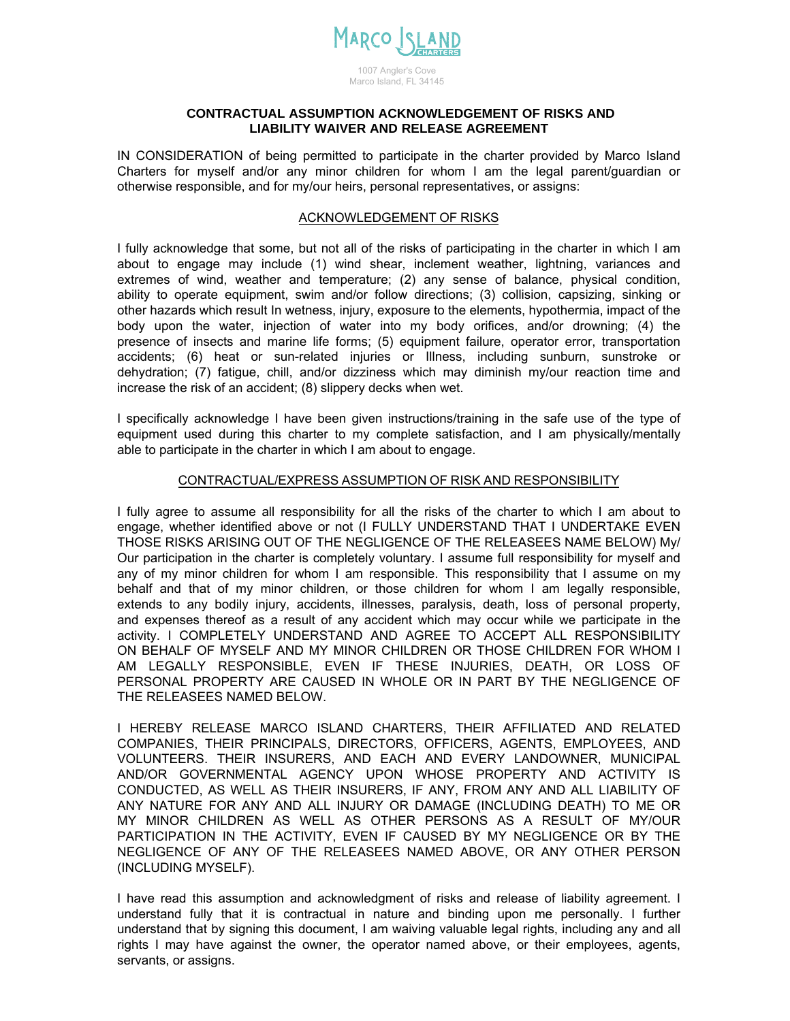

## Marco Island, FL 34145

## **CONTRACTUAL ASSUMPTION ACKNOWLEDGEMENT OF RISKS AND LIABILITY WAIVER AND RELEASE AGREEMENT**

IN CONSIDERATION of being permitted to participate in the charter provided by Marco Island Charters for myself and/or any minor children for whom I am the legal parent/guardian or otherwise responsible, and for my/our heirs, personal representatives, or assigns:

## ACKNOWLEDGEMENT OF RISKS

I fully acknowledge that some, but not all of the risks of participating in the charter in which I am about to engage may include (1) wind shear, inclement weather, lightning, variances and extremes of wind, weather and temperature; (2) any sense of balance, physical condition, ability to operate equipment, swim and/or follow directions; (3) collision, capsizing, sinking or other hazards which result In wetness, injury, exposure to the elements, hypothermia, impact of the body upon the water, injection of water into my body orifices, and/or drowning; (4) the presence of insects and marine life forms; (5) equipment failure, operator error, transportation accidents; (6) heat or sun-related injuries or Illness, including sunburn, sunstroke or dehydration; (7) fatigue, chill, and/or dizziness which may diminish my/our reaction time and increase the risk of an accident; (8) slippery decks when wet.

I specifically acknowledge I have been given instructions/training in the safe use of the type of equipment used during this charter to my complete satisfaction, and I am physically/mentally able to participate in the charter in which I am about to engage.

## CONTRACTUAL/EXPRESS ASSUMPTION OF RISK AND RESPONSIBILITY

I fully agree to assume all responsibility for all the risks of the charter to which I am about to engage, whether identified above or not (I FULLY UNDERSTAND THAT I UNDERTAKE EVEN THOSE RISKS ARISING OUT OF THE NEGLIGENCE OF THE RELEASEES NAME BELOW) My/ Our participation in the charter is completely voluntary. I assume full responsibility for myself and any of my minor children for whom I am responsible. This responsibility that I assume on my behalf and that of my minor children, or those children for whom I am legally responsible, extends to any bodily injury, accidents, illnesses, paralysis, death, loss of personal property, and expenses thereof as a result of any accident which may occur while we participate in the activity. I COMPLETELY UNDERSTAND AND AGREE TO ACCEPT ALL RESPONSIBILITY ON BEHALF OF MYSELF AND MY MINOR CHILDREN OR THOSE CHILDREN FOR WHOM I AM LEGALLY RESPONSIBLE, EVEN IF THESE INJURIES, DEATH, OR LOSS OF PERSONAL PROPERTY ARE CAUSED IN WHOLE OR IN PART BY THE NEGLIGENCE OF THE RELEASEES NAMED BELOW.

I HEREBY RELEASE MARCO ISLAND CHARTERS, THEIR AFFILIATED AND RELATED COMPANIES, THEIR PRINCIPALS, DIRECTORS, OFFICERS, AGENTS, EMPLOYEES, AND VOLUNTEERS. THEIR INSURERS, AND EACH AND EVERY LANDOWNER, MUNICIPAL AND/OR GOVERNMENTAL AGENCY UPON WHOSE PROPERTY AND ACTIVITY IS CONDUCTED, AS WELL AS THEIR INSURERS, IF ANY, FROM ANY AND ALL LIABILITY OF ANY NATURE FOR ANY AND ALL INJURY OR DAMAGE (INCLUDING DEATH) TO ME OR MY MINOR CHILDREN AS WELL AS OTHER PERSONS AS A RESULT OF MY/OUR PARTICIPATION IN THE ACTIVITY, EVEN IF CAUSED BY MY NEGLIGENCE OR BY THE NEGLIGENCE OF ANY OF THE RELEASEES NAMED ABOVE, OR ANY OTHER PERSON (INCLUDING MYSELF).

I have read this assumption and acknowledgment of risks and release of liability agreement. I understand fully that it is contractual in nature and binding upon me personally. I further understand that by signing this document, I am waiving valuable legal rights, including any and all rights I may have against the owner, the operator named above, or their employees, agents, servants, or assigns.